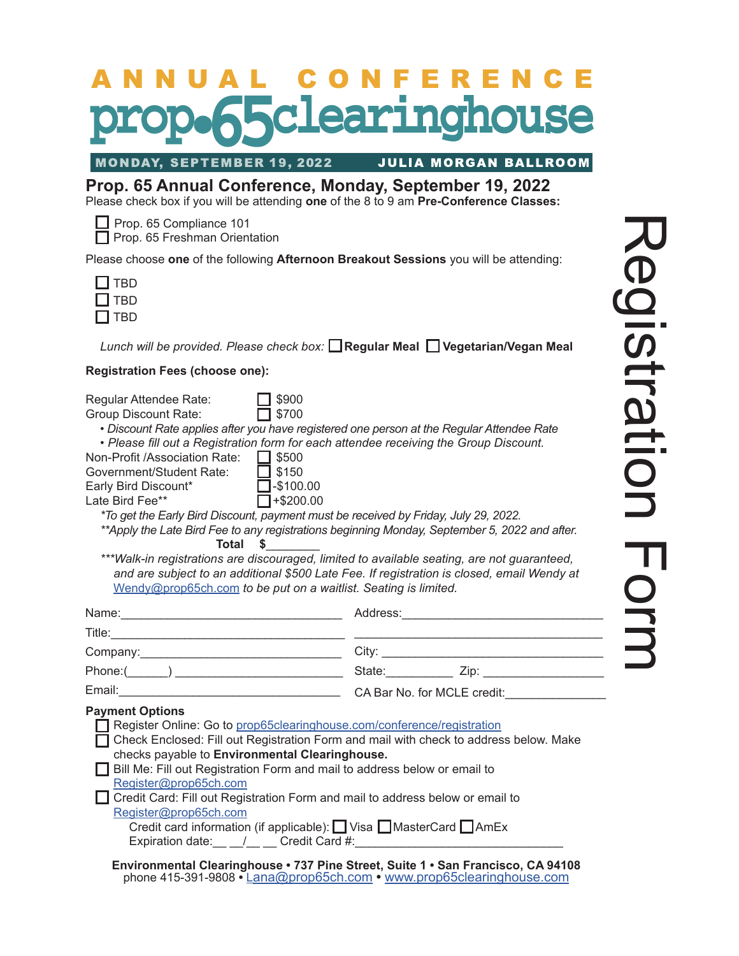# ONFERENCE AL C sclearinghouse

**MONDAY, SEPTEMBER 19, 2022** 

#### **JULIA MORGAN BALLROOM**

**Prop. 65 Annual Conference, Monday, September 19, 2022** Please check box if you will be attending **one** of the 8 to 9 am **Pre-Conference Classes:**

Prop. 65 Compliance 101

 $\Box$  Prop. 65 Freshman Orientation

Please choose **one** of the following **Afternoon Breakout Sessions** you will be attending:

| Π.<br>BD |
|----------|
| 1 BD     |
| L<br>RD) |

Lunch will be provided. Please check box: **□ Regular Meal □ Vegetarian/Vegan Meal** 

#### **Registration Fees (choose one):**

| \$900<br>Regular Attendee Rate:<br>$\Box$ \$700<br>Group Discount Rate:<br>• Discount Rate applies after you have registered one person at the Regular Attendee Rate<br>• Please fill out a Registration form for each attendee receiving the Group Discount.<br>Non-Profit /Association Rate: □ \$500<br>Government/Student Rate:<br>$\Box$ \$150<br>Early Bird Discount* 1-\$100.00<br>Late Bird Fee**<br>$\Box$ +\$200.00<br>*To get the Early Bird Discount, payment must be received by Friday, July 29, 2022.<br>**Apply the Late Bird Fee to any registrations beginning Monday, September 5, 2022 and after.<br>Total<br>$\sim$<br>***Walk-in registrations are discouraged, limited to available seating, are not guaranteed,<br>and are subject to an additional \$500 Late Fee. If registration is closed, email Wendy at<br>Wendy@prop65ch.com to be put on a waitlist. Seating is limited. |  |
|---------------------------------------------------------------------------------------------------------------------------------------------------------------------------------------------------------------------------------------------------------------------------------------------------------------------------------------------------------------------------------------------------------------------------------------------------------------------------------------------------------------------------------------------------------------------------------------------------------------------------------------------------------------------------------------------------------------------------------------------------------------------------------------------------------------------------------------------------------------------------------------------------------|--|
| Name: 2008. Expediance and the state of the state of the state of the state of the state of the state of the state of the state of the state of the state of the state of the state of the state of the state of the state of                                                                                                                                                                                                                                                                                                                                                                                                                                                                                                                                                                                                                                                                           |  |
|                                                                                                                                                                                                                                                                                                                                                                                                                                                                                                                                                                                                                                                                                                                                                                                                                                                                                                         |  |
|                                                                                                                                                                                                                                                                                                                                                                                                                                                                                                                                                                                                                                                                                                                                                                                                                                                                                                         |  |
|                                                                                                                                                                                                                                                                                                                                                                                                                                                                                                                                                                                                                                                                                                                                                                                                                                                                                                         |  |
|                                                                                                                                                                                                                                                                                                                                                                                                                                                                                                                                                                                                                                                                                                                                                                                                                                                                                                         |  |
| <b>Payment Options</b><br>Register Online: Go to prop65clearinghouse.com/conference/registration<br>Check Enclosed: Fill out Registration Form and mail with check to address below. Make<br>checks payable to Environmental Clearinghouse.<br>Bill Me: Fill out Registration Form and mail to address below or email to<br>Register@prop65ch.com<br>□ Credit Card: Fill out Registration Form and mail to address below or email to<br>Register@prop65ch.com<br>Credit card information (if applicable): □ Visa □ MasterCard □ AmEx<br>Expiration date: 1 Credit Card #:<br>Environmental Clearinghouse · 737 Pine Street, Suite 1 · San Francisco, CA 94108<br>phone 415-391-9808 • Lana@prop65ch.com • www.prop65clearinghouse.com                                                                                                                                                                   |  |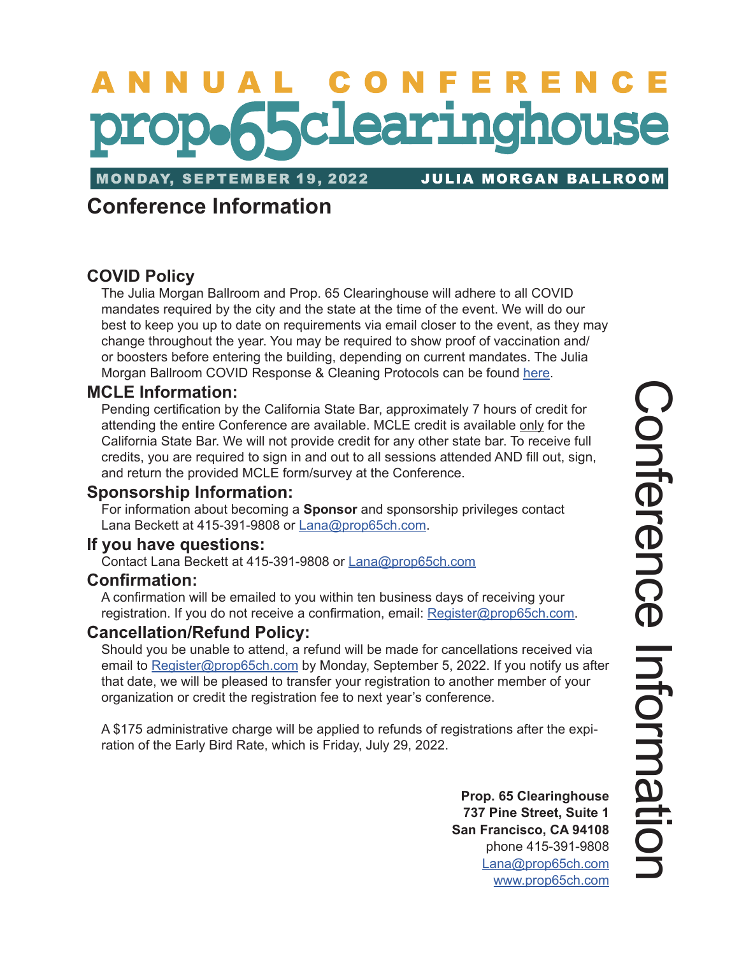# NUAL CONFERENC **65clearinghouse**

**MONDAY, SEPTEMBER 19, 2022** 

**JULIA MORGAN BALLROOM** 

# **Conference Information**

# **COVID Policy**

The Julia Morgan Ballroom and Prop. 65 Clearinghouse will adhere to all COVID mandates required by the city and the state at the time of the event. We will do our best to keep you up to date on requirements via email closer to the event, as they may change throughout the year. You may be required to show proof of vaccination and/ or boosters before entering the building, depending on current mandates. The Julia Morgan Ballroom COVID Response & Cleaning Protocols can be found [here.](https://juliamorganballroom.com/keeping-you-safe/)

## **MCLE Information:**

Pending certification by the California State Bar, approximately 7 hours of credit for attending the entire Conference are available. MCLE credit is available only for the California State Bar. We will not provide credit for any other state bar. To receive full credits, you are required to sign in and out to all sessions attended AND fill out, sign, and return the provided MCLE form/survey at the Conference.

# **Sponsorship Information:**

For information about becoming a **Sponsor** and sponsorship privileges contact Lana Beckett at 415-391-9808 or [Lana@prop65ch.com](mailto:Lana%40prop65ch.com?subject=Conference%20Sponsorship%20Inquiry).

## **If you have questions:**

Contact Lana Beckett at 415-391-9808 or [Lana@prop65ch.com](mailto:Lana%40prop65ch.com?subject=Conference%20Inquiry)

## **Confirmation:**

A confirmation will be emailed to you within ten business days of receiving your registration. If you do not receive a confirmation, email: [Register@prop65ch.com](mailto:Register%40prop65ch.com?subject=Conference%20Registration%20Confirmation).

## **Cancellation/Refund Policy:**

Should you be unable to attend, a refund will be made for cancellations received via email to [Register@prop65ch.com](mailto:Register%40prop65ch.com?subject=Conference%20Cancellation/Refund%20Inquiry) by Monday, September 5, 2022. If you notify us after that date, we will be pleased to transfer your registration to another member of your organization or credit the registration fee to next year's conference.

A \$175 administrative charge will be applied to refunds of registrations after the expiration of the Early Bird Rate, which is Friday, July 29, 2022.

> **Prop. 65 Clearinghouse 737 Pine Street, Suite 1 San Francisco, CA 94108** phone 415-391-9808 [Lana@prop65ch.com](mailto:Lana%40prop65ch.com?subject=Conference%20Inquiry) [www.prop65ch.com](http://www.prop65ch.com)